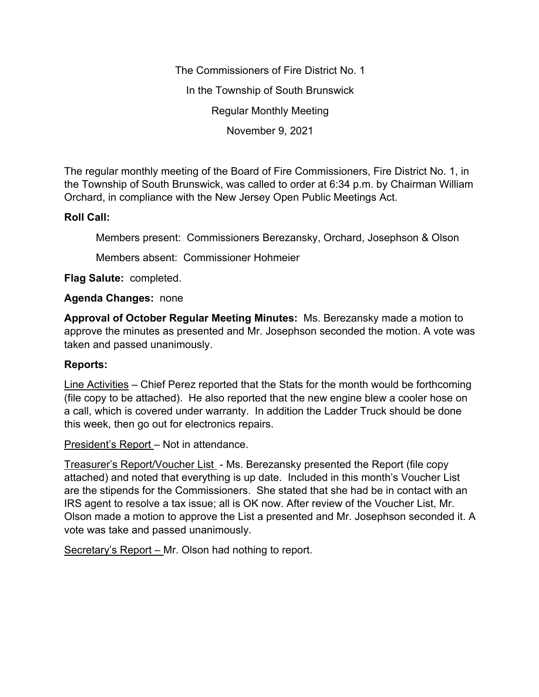The Commissioners of Fire District No. 1 In the Township of South Brunswick Regular Monthly Meeting November 9, 2021

The regular monthly meeting of the Board of Fire Commissioners, Fire District No. 1, in the Township of South Brunswick, was called to order at 6:34 p.m. by Chairman William Orchard, in compliance with the New Jersey Open Public Meetings Act.

## **Roll Call:**

Members present: Commissioners Berezansky, Orchard, Josephson & Olson

Members absent: Commissioner Hohmeier

**Flag Salute:** completed.

## **Agenda Changes:** none

**Approval of October Regular Meeting Minutes:** Ms. Berezansky made a motion to approve the minutes as presented and Mr. Josephson seconded the motion. A vote was taken and passed unanimously.

## **Reports:**

Line Activities – Chief Perez reported that the Stats for the month would be forthcoming (file copy to be attached). He also reported that the new engine blew a cooler hose on a call, which is covered under warranty. In addition the Ladder Truck should be done this week, then go out for electronics repairs.

President's Report – Not in attendance.

Treasurer's Report/Voucher List - Ms. Berezansky presented the Report (file copy attached) and noted that everything is up date. Included in this month's Voucher List are the stipends for the Commissioners. She stated that she had be in contact with an IRS agent to resolve a tax issue; all is OK now. After review of the Voucher List, Mr. Olson made a motion to approve the List a presented and Mr. Josephson seconded it. A vote was take and passed unanimously.

Secretary's Report – Mr. Olson had nothing to report.